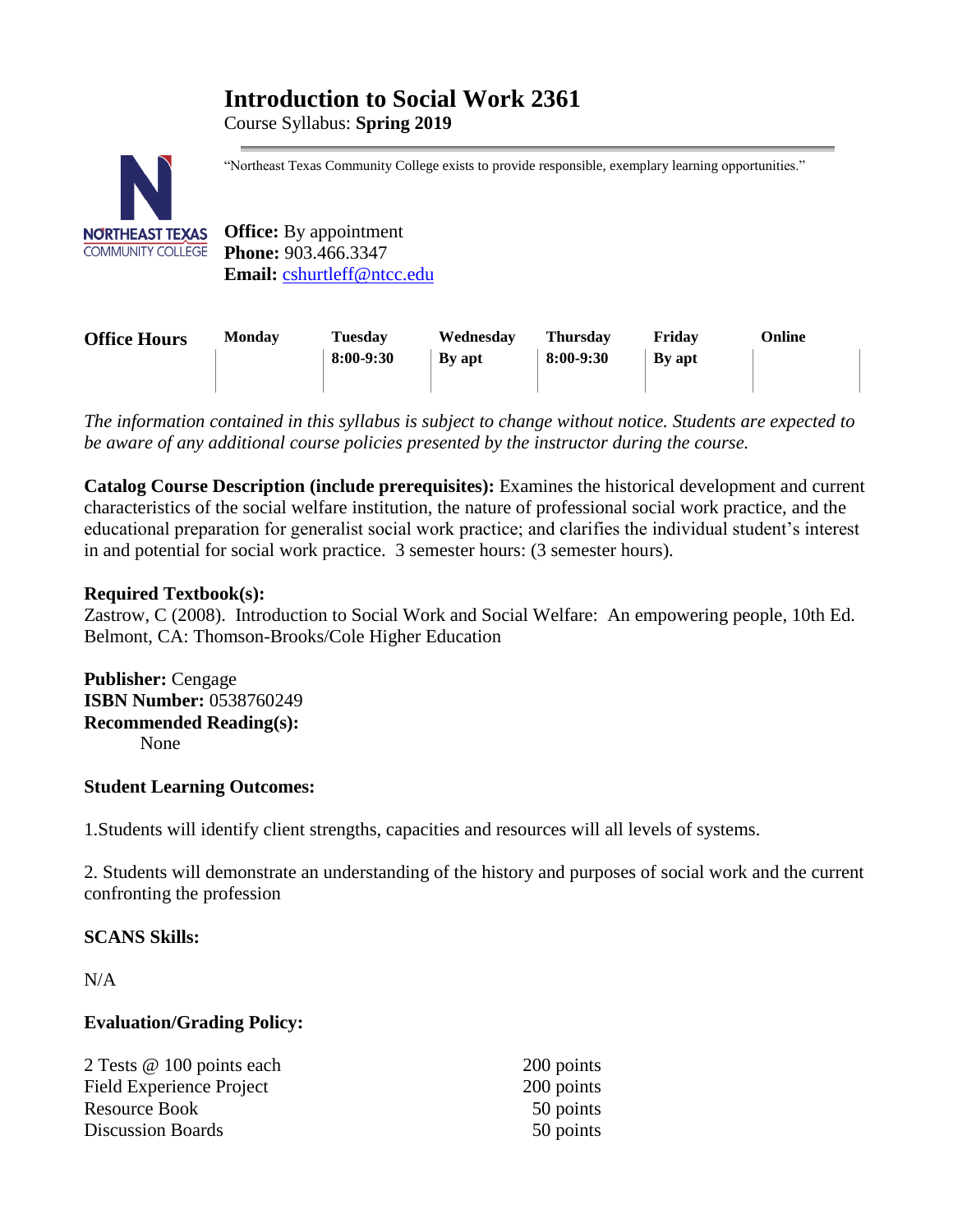# **Introduction to Social Work 2361**

Course Syllabus: **Spring 2019** 



"Northeast Texas Community College exists to provide responsible, exemplary learning opportunities."

**Office:** By appointment **Phone:** 903.466.3347 **Email:** [cshurtleff@ntcc.edu](mailto:cshurtleff@ntcc.edu)

| <b>Office Hours</b> | <b>Monday</b> | <b>Tuesday</b> | Wednesday     | <b>Thursday</b> | Fridav        | Online |
|---------------------|---------------|----------------|---------------|-----------------|---------------|--------|
|                     |               | 8:00-9:30      | <b>By apt</b> | $8:00-9:30$     | <b>By apt</b> |        |
|                     |               |                |               |                 |               |        |

*The information contained in this syllabus is subject to change without notice. Students are expected to be aware of any additional course policies presented by the instructor during the course.*

**Catalog Course Description (include prerequisites):** Examines the historical development and current characteristics of the social welfare institution, the nature of professional social work practice, and the educational preparation for generalist social work practice; and clarifies the individual student's interest in and potential for social work practice. 3 semester hours: (3 semester hours).

# **Required Textbook(s):**

Zastrow, C (2008). Introduction to Social Work and Social Welfare: An empowering people, 10th Ed. Belmont, CA: Thomson-Brooks/Cole Higher Education

**Publisher:** Cengage **ISBN Number:** 0538760249 **Recommended Reading(s):** None

# **Student Learning Outcomes:**

1.Students will identify client strengths, capacities and resources will all levels of systems.

2. Students will demonstrate an understanding of the history and purposes of social work and the current confronting the profession

# **SCANS Skills:**

 $N/A$ 

# **Evaluation/Grading Policy:**

| 2 Tests @ 100 points each       | 200 points |
|---------------------------------|------------|
| <b>Field Experience Project</b> | 200 points |
| Resource Book                   | 50 points  |
| <b>Discussion Boards</b>        | 50 points  |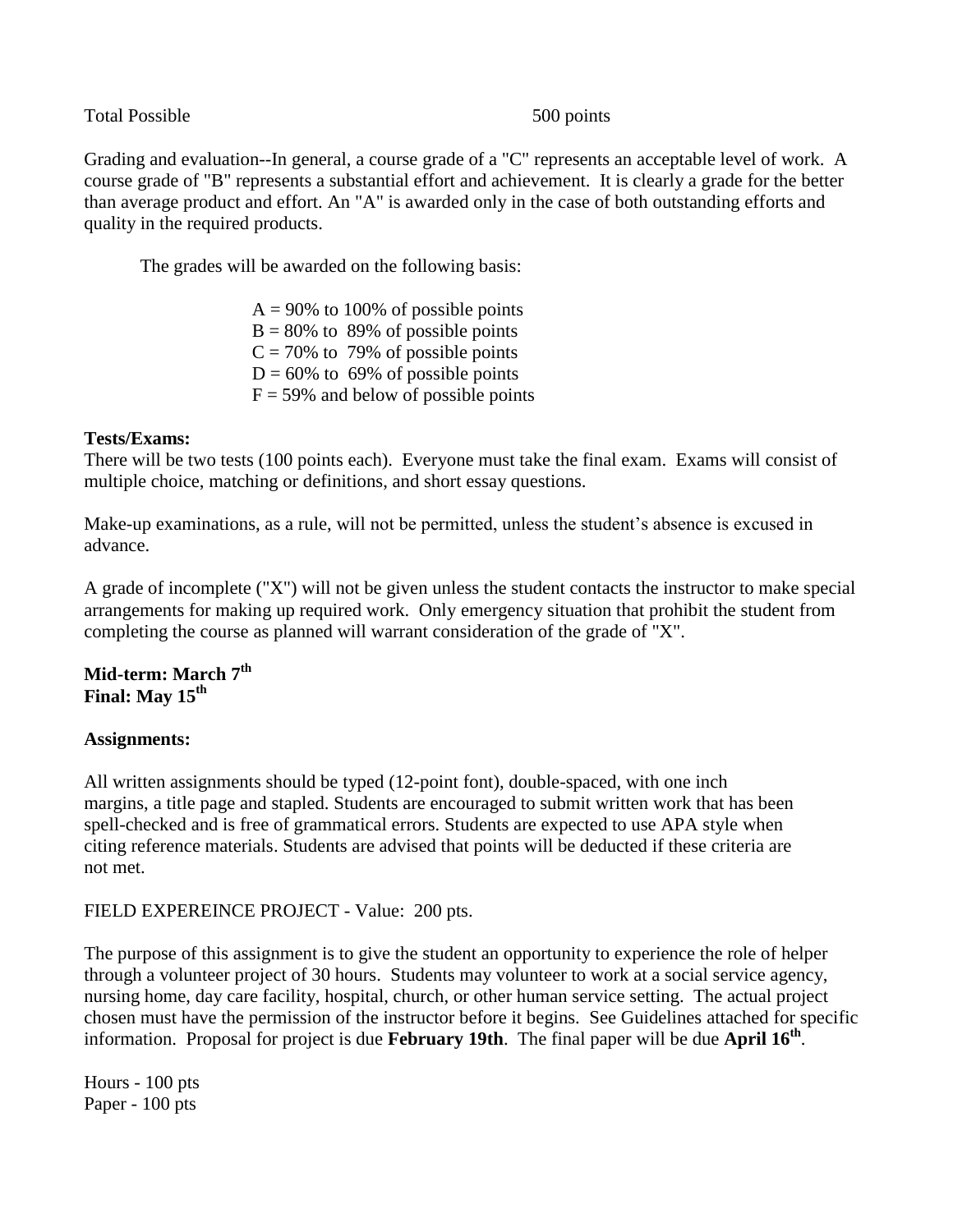Total Possible 500 points

Grading and evaluation--In general, a course grade of a "C" represents an acceptable level of work. A course grade of "B" represents a substantial effort and achievement. It is clearly a grade for the better than average product and effort. An "A" is awarded only in the case of both outstanding efforts and quality in the required products.

The grades will be awarded on the following basis:

 $A = 90\%$  to 100% of possible points  $B = 80\%$  to 89% of possible points  $C = 70\%$  to 79% of possible points  $D = 60\%$  to 69% of possible points  $F = 59\%$  and below of possible points

#### **Tests/Exams:**

There will be two tests (100 points each). Everyone must take the final exam. Exams will consist of multiple choice, matching or definitions, and short essay questions.

Make-up examinations, as a rule, will not be permitted, unless the student's absence is excused in advance.

A grade of incomplete ("X") will not be given unless the student contacts the instructor to make special arrangements for making up required work. Only emergency situation that prohibit the student from completing the course as planned will warrant consideration of the grade of "X".

# **Mid-term: March 7th Final: May 15th**

# **Assignments:**

All written assignments should be typed (12-point font), double-spaced, with one inch margins, a title page and stapled. Students are encouraged to submit written work that has been spell-checked and is free of grammatical errors. Students are expected to use APA style when citing reference materials. Students are advised that points will be deducted if these criteria are not met.

FIELD EXPEREINCE PROJECT - Value: 200 pts.

The purpose of this assignment is to give the student an opportunity to experience the role of helper through a volunteer project of 30 hours. Students may volunteer to work at a social service agency, nursing home, day care facility, hospital, church, or other human service setting. The actual project chosen must have the permission of the instructor before it begins. See Guidelines attached for specific information. Proposal for project is due **February 19th**. The final paper will be due **April 16th** .

Hours - 100 pts Paper - 100 pts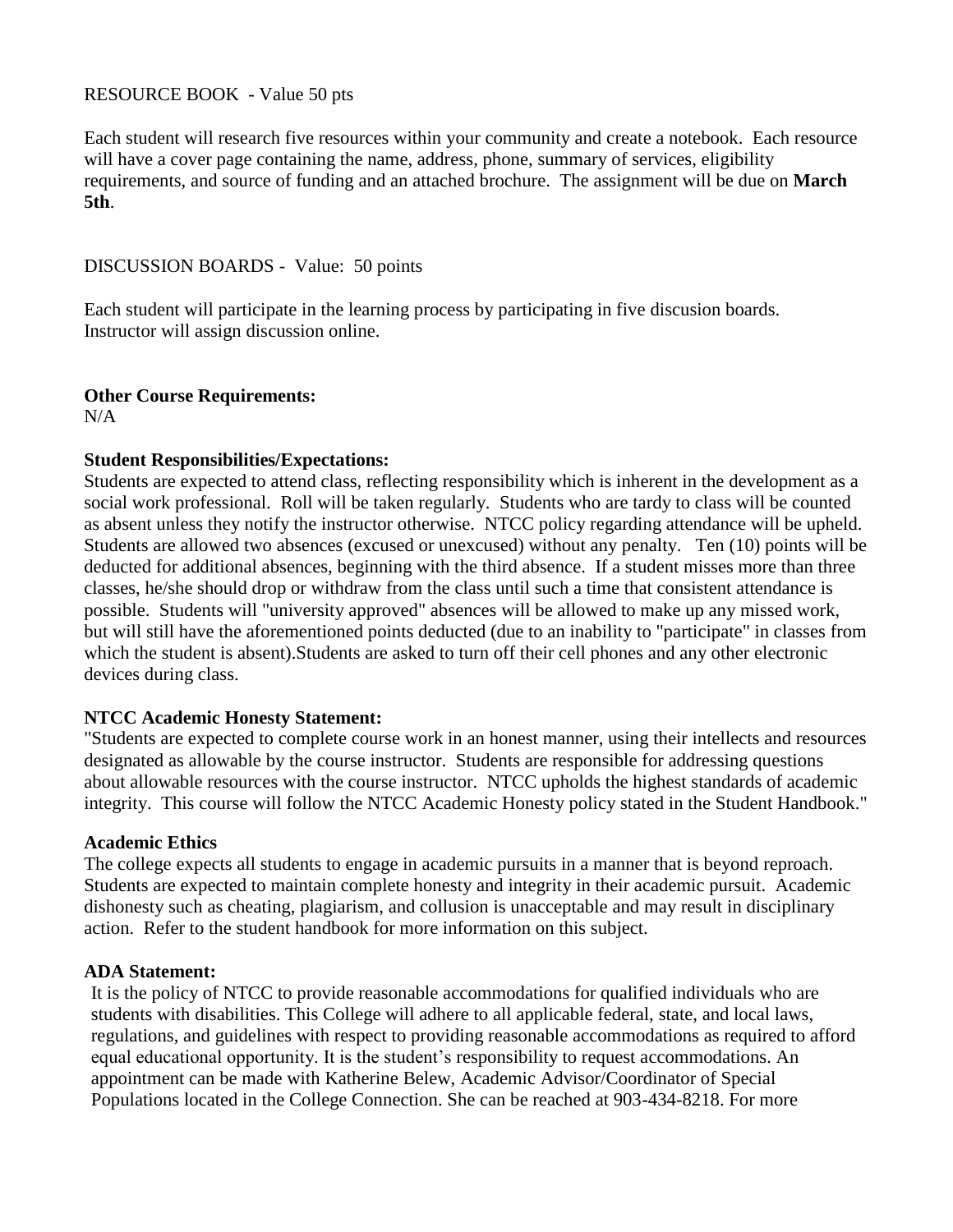## RESOURCE BOOK - Value 50 pts

Each student will research five resources within your community and create a notebook. Each resource will have a cover page containing the name, address, phone, summary of services, eligibility requirements, and source of funding and an attached brochure. The assignment will be due on **March 5th**.

#### DISCUSSION BOARDS - Value: 50 points

Each student will participate in the learning process by participating in five discusion boards. Instructor will assign discussion online.

# **Other Course Requirements:**

 $N/A$ 

#### **Student Responsibilities/Expectations:**

Students are expected to attend class, reflecting responsibility which is inherent in the development as a social work professional. Roll will be taken regularly. Students who are tardy to class will be counted as absent unless they notify the instructor otherwise. NTCC policy regarding attendance will be upheld. Students are allowed two absences (excused or unexcused) without any penalty. Ten (10) points will be deducted for additional absences, beginning with the third absence. If a student misses more than three classes, he/she should drop or withdraw from the class until such a time that consistent attendance is possible. Students will "university approved" absences will be allowed to make up any missed work, but will still have the aforementioned points deducted (due to an inability to "participate" in classes from which the student is absent).Students are asked to turn off their cell phones and any other electronic devices during class.

#### **NTCC Academic Honesty Statement:**

"Students are expected to complete course work in an honest manner, using their intellects and resources designated as allowable by the course instructor. Students are responsible for addressing questions about allowable resources with the course instructor. NTCC upholds the highest standards of academic integrity. This course will follow the NTCC Academic Honesty policy stated in the Student Handbook."

#### **Academic Ethics**

The college expects all students to engage in academic pursuits in a manner that is beyond reproach. Students are expected to maintain complete honesty and integrity in their academic pursuit. Academic dishonesty such as cheating, plagiarism, and collusion is unacceptable and may result in disciplinary action. Refer to the student handbook for more information on this subject.

#### **ADA Statement:**

It is the policy of NTCC to provide reasonable accommodations for qualified individuals who are students with disabilities. This College will adhere to all applicable federal, state, and local laws, regulations, and guidelines with respect to providing reasonable accommodations as required to afford equal educational opportunity. It is the student's responsibility to request accommodations. An appointment can be made with Katherine Belew, Academic Advisor/Coordinator of Special Populations located in the College Connection. She can be reached at 903-434-8218. For more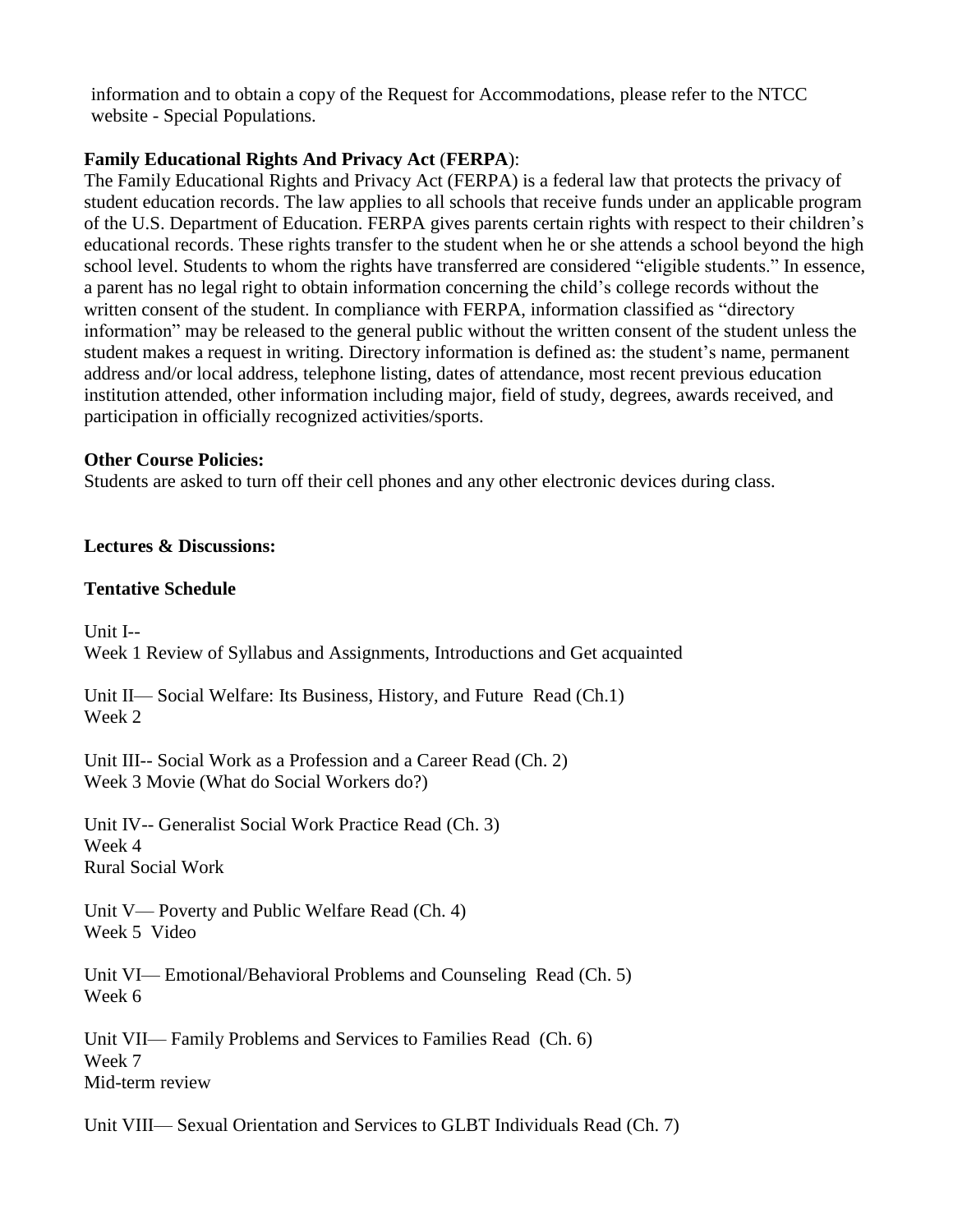information and to obtain a copy of the Request for Accommodations, please refer to the NTCC website - Special Populations.

# **Family Educational Rights And Privacy Act** (**FERPA**):

The Family Educational Rights and Privacy Act (FERPA) is a federal law that protects the privacy of student education records. The law applies to all schools that receive funds under an applicable program of the U.S. Department of Education. FERPA gives parents certain rights with respect to their children's educational records. These rights transfer to the student when he or she attends a school beyond the high school level. Students to whom the rights have transferred are considered "eligible students." In essence, a parent has no legal right to obtain information concerning the child's college records without the written consent of the student. In compliance with FERPA, information classified as "directory information" may be released to the general public without the written consent of the student unless the student makes a request in writing. Directory information is defined as: the student's name, permanent address and/or local address, telephone listing, dates of attendance, most recent previous education institution attended, other information including major, field of study, degrees, awards received, and participation in officially recognized activities/sports.

### **Other Course Policies:**

Students are asked to turn off their cell phones and any other electronic devices during class.

**Lectures & Discussions:**

### **Tentative Schedule**

Unit I-- Week 1 Review of Syllabus and Assignments, Introductions and Get acquainted

Unit II— Social Welfare: Its Business, History, and Future Read (Ch.1) Week 2

Unit III-- Social Work as a Profession and a Career Read (Ch. 2) Week 3 Movie (What do Social Workers do?)

Unit IV-- Generalist Social Work Practice Read (Ch. 3) Week 4 Rural Social Work

Unit V— Poverty and Public Welfare Read (Ch. 4) Week 5 Video

Unit VI— Emotional/Behavioral Problems and Counseling Read (Ch. 5) Week 6

Unit VII— Family Problems and Services to Families Read (Ch. 6) Week 7 Mid-term review

Unit VIII— Sexual Orientation and Services to GLBT Individuals Read (Ch. 7)